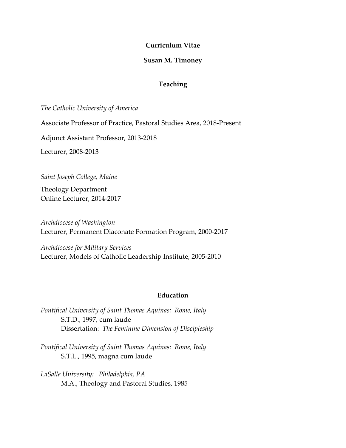# **Curriculum Vitae**

#### **Susan M. Timoney**

### **Teaching**

*The Catholic University of America*

Associate Professor of Practice, Pastoral Studies Area, 2018-Present

Adjunct Assistant Professor, 2013-2018

Lecturer, 2008-2013

*Saint Joseph College, Maine*

Theology Department Online Lecturer, 2014-2017

*Archdiocese of Washington* Lecturer, Permanent Diaconate Formation Program, 2000-2017

*Archdiocese for Military Services* Lecturer, Models of Catholic Leadership Institute, 2005-2010

### **Education**

*Pontifical University of Saint Thomas Aquinas: Rome, Italy*  S.T.D., 1997, cum laude Dissertation: *The Feminine Dimension of Discipleship*

*Pontifical University of Saint Thomas Aquinas: Rome, Italy* S.T.L., 1995, magna cum laude

*LaSalle University: Philadelphia, PA* M.A., Theology and Pastoral Studies, 1985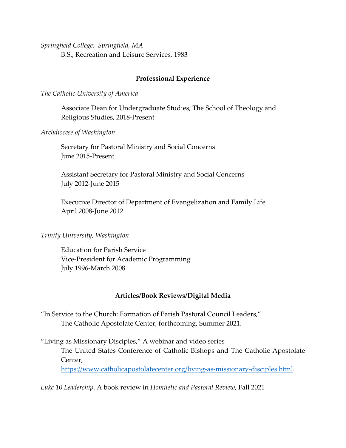*Springfield College: Springfield, MA* B.S., Recreation and Leisure Services, 1983

# **Professional Experience**

*The Catholic University of America* 

Associate Dean for Undergraduate Studies, The School of Theology and Religious Studies, 2018-Present

*Archdiocese of Washington*

Secretary for Pastoral Ministry and Social Concerns June 2015-Present

Assistant Secretary for Pastoral Ministry and Social Concerns July 2012-June 2015

Executive Director of Department of Evangelization and Family Life April 2008-June 2012

# *Trinity University, Washington*

Education for Parish Service Vice-President for Academic Programming July 1996-March 2008

# **Articles/Book Reviews/Digital Media**

"In Service to the Church: Formation of Parish Pastoral Council Leaders," The Catholic Apostolate Center, forthcoming, Summer 2021.

"Living as Missionary Disciples," A webinar and video series The United States Conference of Catholic Bishops and The Catholic Apostolate Center, https://www.catholicapostolatecenter.org/living-as-missionary-disciples.html.

*Luke 10 Leadership*. A book review in *Homiletic and Pastoral Review*, Fall 2021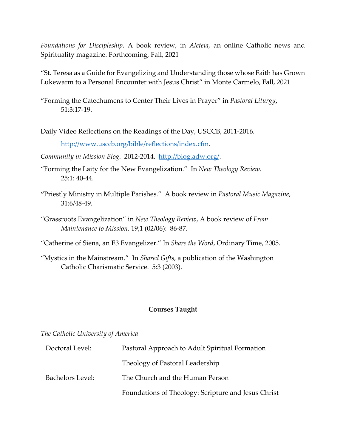*Foundations for Discipleship*. A book review, in *Aleteia*, an online Catholic news and Spirituality magazine. Forthcoming, Fall, 2021

"St. Teresa as a Guide for Evangelizing and Understanding those whose Faith has Grown Lukewarm to a Personal Encounter with Jesus Christ" in Monte Carmelo, Fall, 2021

"Forming the Catechumens to Center Their Lives in Prayer" in *Pastoral Liturgy***,**  51:3:17-19.

Daily Video Reflections on the Readings of the Day, USCCB, 2011-2016.

http://www.usccb.org/bible/reflections/index.cfm.

*Community in Mission Blog*. 2012-2014. http://blog.adw.org/.

- "Forming the Laity for the New Evangelization." In *New Theology Review*. 25:1: 40-44.
- **"**Priestly Ministry in Multiple Parishes." A book review in *Pastoral Music Magazine*, 31:6/48-49.
- "Grassroots Evangelization" in *New Theology Review*, A book review of *From Maintenance to Mission.* 19;1 (02/06): 86-87.
- "Catherine of Siena, an E3 Evangelizer." In *Share the Word*, Ordinary Time, 2005.
- "Mystics in the Mainstream." In *Shared Gifts*, a publication of the Washington Catholic Charismatic Service. 5:3 (2003).

# **Courses Taught**

*The Catholic University of America*

| Doctoral Level:         | Pastoral Approach to Adult Spiritual Formation      |
|-------------------------|-----------------------------------------------------|
|                         | Theology of Pastoral Leadership                     |
| <b>Bachelors Level:</b> | The Church and the Human Person                     |
|                         | Foundations of Theology: Scripture and Jesus Christ |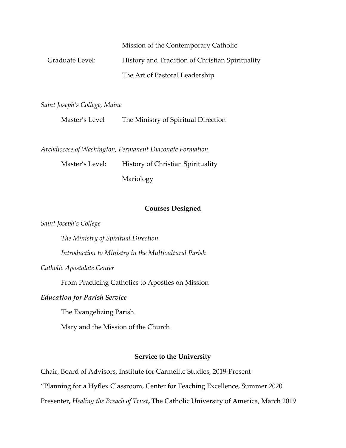|                 | Mission of the Contemporary Catholic            |
|-----------------|-------------------------------------------------|
| Graduate Level: | History and Tradition of Christian Spirituality |
|                 | The Art of Pastoral Leadership                  |

*Saint Joseph's College, Maine*

Master's Level The Ministry of Spiritual Direction

*Archdiocese of Washington, Permanent Diaconate Formation*

Master's Level: History of Christian Spirituality Mariology

### **Courses Designed**

*Saint Joseph's College*

*The Ministry of Spiritual Direction*

*Introduction to Ministry in the Multicultural Parish*

*Catholic Apostolate Center*

From Practicing Catholics to Apostles on Mission

*Education for Parish Service*

The Evangelizing Parish

Mary and the Mission of the Church

### **Service to the University**

Chair, Board of Advisors, Institute for Carmelite Studies, 2019-Present

"Planning for a Hyflex Classroom, Center for Teaching Excellence, Summer 2020

Presenter**,** *Healing the Breach of Trust***,** The Catholic University of America, March 2019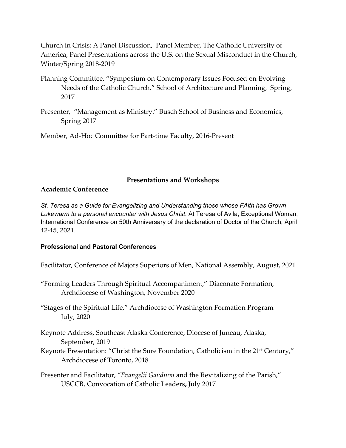Church in Crisis: A Panel Discussion, Panel Member, The Catholic University of America, Panel Presentations across the U.S. on the Sexual Misconduct in the Church, Winter/Spring 2018-2019

- Planning Committee, "Symposium on Contemporary Issues Focused on Evolving Needs of the Catholic Church." School of Architecture and Planning, Spring, 2017
- Presenter, "Management as Ministry." Busch School of Business and Economics, Spring 2017

Member, Ad-Hoc Committee for Part-time Faculty, 2016-Present

### **Presentations and Workshops**

### **Academic Conference**

*St. Teresa as a Guide for Evangelizing and Understanding those whose FAith has Grown Lukewarm to a personal encounter with Jesus Christ*. At Teresa of Avila, Exceptional Woman, International Conference on 50th Anniversary of the declaration of Doctor of the Church, April 12-15, 2021.

### **Professional and Pastoral Conferences**

Facilitator, Conference of Majors Superiors of Men, National Assembly, August, 2021

"Forming Leaders Through Spiritual Accompaniment," Diaconate Formation, Archdiocese of Washington, November 2020

"Stages of the Spiritual Life," Archdiocese of Washington Formation Program July, 2020

- Keynote Address, Southeast Alaska Conference, Diocese of Juneau, Alaska, September, 2019
- Keynote Presentation: "Christ the Sure Foundation, Catholicism in the 21<sup>st</sup> Century," Archdiocese of Toronto, 2018
- Presenter and Facilitator, "*Evangelii Gaudium* and the Revitalizing of the Parish," USCCB, Convocation of Catholic Leaders**,** July 2017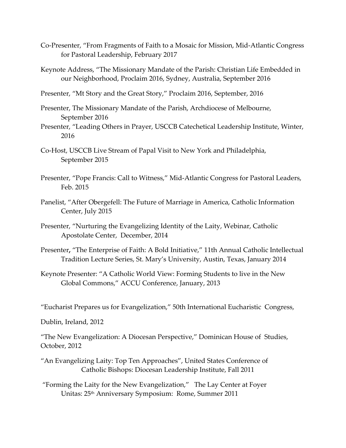- Co-Presenter, "From Fragments of Faith to a Mosaic for Mission, Mid-Atlantic Congress for Pastoral Leadership, February 2017
- Keynote Address, "The Missionary Mandate of the Parish: Christian Life Embedded in our Neighborhood, Proclaim 2016, Sydney, Australia, September 2016
- Presenter, "Mt Story and the Great Story," Proclaim 2016, September, 2016
- Presenter, The Missionary Mandate of the Parish, Archdiocese of Melbourne, September 2016
- Presenter, "Leading Others in Prayer, USCCB Catechetical Leadership Institute, Winter, 2016
- Co-Host, USCCB Live Stream of Papal Visit to New York and Philadelphia, September 2015
- Presenter, "Pope Francis: Call to Witness," Mid-Atlantic Congress for Pastoral Leaders, Feb. 2015
- Panelist, "After Obergefell: The Future of Marriage in America, Catholic Information Center, July 2015
- Presenter, "Nurturing the Evangelizing Identity of the Laity, Webinar, Catholic Apostolate Center, December, 2014
- Presenter**,** "The Enterprise of Faith: A Bold Initiative," 11th Annual Catholic Intellectual Tradition Lecture Series, St. Mary's University, Austin, Texas, January 2014
- Keynote Presenter: "A Catholic World View: Forming Students to live in the New Global Commons," ACCU Conference, January, 2013
- "Eucharist Prepares us for Evangelization," 50th International Eucharistic Congress,

Dublin, Ireland, 2012

"The New Evangelization: A Diocesan Perspective," Dominican House of Studies, October, 2012

- "An Evangelizing Laity: Top Ten Approaches", United States Conference of Catholic Bishops: Diocesan Leadership Institute, Fall 2011
- "Forming the Laity for the New Evangelization," The Lay Center at Foyer Unitas: 25th Anniversary Symposium: Rome, Summer 2011